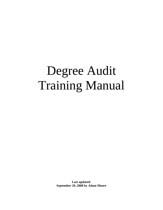# Degree Audit Training Manual

**Last updated: September 29, 2008 by Adam Moore**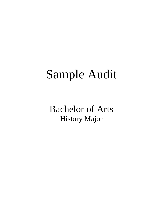# Sample Audit

Bachelor of Arts History Major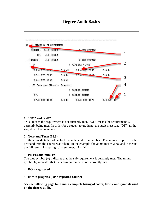# **Degree Audit Basics**



#### **1. "NO" and "OK"**

"NO" means the requirement is not currently met. "OK" means the requirement is currently being met. In order for a student to graduate, the audit must read "OK" all the way down the document.

#### **2. Year and Term (06.3)**

To the immediate left of each class on the audit is a number. This number represents the year and term the course was taken. In the example above, 06 means 2006 and .3 means the fall term.  $.1 =$ spring,  $.2 =$ summer,  $.3 =$ fall

#### **3. Plusses and minuses**

The plus symbol  $(+)$  indicates that the sub-requirement is currently met. The minus symbol (-) indicates that the sub-requirement is not currently met.

#### **4. RG = registered**

#### **5. IP = in progress (RP = repeated course)**

**See the following page for a more complete listing of codes, terms, and symbols used on the degree audit.**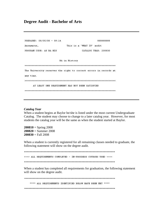### **Degree Audit - Bachelor of Arts**

| PREPARED: 08/05/08 - 09:14 | 88888888                                                          |
|----------------------------|-------------------------------------------------------------------|
| Anonymous,                 | This is a 'WHAT IF' audit                                         |
| PROGRAM CODE: AS BA HIS    | CATALOG YEAR: 200830                                              |
|                            |                                                                   |
|                            | BA in History                                                     |
|                            |                                                                   |
|                            | The University reserves the right to correct errors in records at |
| any time.                  |                                                                   |
|                            |                                                                   |
|                            | AT LEAST ONE REQUIREMENT HAS NOT BEEN SATISFIED                   |
|                            |                                                                   |

#### *Catalog Year*

When a student begins at Baylor he/she is listed under the most current Undergraduate Catalog. The student may choose to change to a later catalog year. However, for most students the catalog year will be the same as when the student started at Baylor.

 $200810 =$  Spring 2008 **200820** = Summer 2008  $200830 =$ Fall 2008

When a student is currently registered for all remaining classes needed to graduate, the following statement will show on the degree audit.

>>>> ALL REQUIREMENTS COMPLETED - IN-PROGRESS COURSES USED <<<< 

When a student has completed all requirements for graduation, the following statement will show on the degree audit.

\*\*\*\* ALL REQUIREMENTS IDENTIFIED BELOW HAVE BEEN MET \*\*\*\*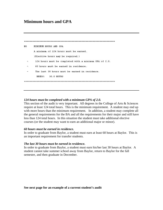# **Minimum hours and GPA**

```
N<sub>O</sub>
    MINIMUM HOURS AND GPA
    A minimum of 124 hours must be earned.
    (Elective hours may be required.)
     124 hours must be completed with a minimum GPA of 2.0.
     60 hours must be earned in residence.
     The last 30 hours must be earned in residence.
      NEEDS:
            30.0 HOURS
```
#### *124 hours must be completed with a minimum GPA of 2.0.*

This section of the audit is very important. All degrees in the College of Arts & Sciences require at least 124 total hours. This is the minimum requirement. A student may end up with more hours than the minimum requirement. In addition, a student may complete all the general requirements for the BA and all the requirements for their major and still have less than 124 total hours. In this situation the student must take additional elective courses (or the student may want to earn an additional major or minor).

#### *60 hours must be earned in residence.*

In order to graduate from Baylor, a student must earn at least 60 hours at Baylor. This is an important requirement for transfer students.

#### *The last 30 hours must be earned in residence.*

In order to graduate from Baylor, a student must earn his/her last 30 hours at Baylor. A student cannot take summer school away from Baylor, return to Baylor for the fall semester, and then graduate in December.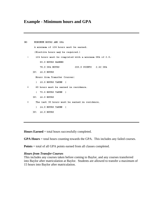# **Example - Minimum hours and GPA**

```
NO.
      MINIMUM HOURS AND GPA
       A minimum of 124 hours must be earned.
       (Elective hours may be required.)
       124 hours must be completed with a minimum GPA of 2.0.
  Φ
           85.0 HOURS EARNED
           78.0 GPA HOURS
                                   205.0 POINTS 2.62 GPA
      IP: 16.0 HOURS
        Hours from Transfer Courses:
        ( 10.0 HOURS TAKEN )
  \ddot{+}60 hours must be earned in residence.
        (75.0 HOURS TAKEN)
      IP: 16.0 HOURS
  \ddot{}The last 30 hours must be earned in residence.
       (14.0 HOURS TAKEN )IP: 16.0 HOURS
```
**Hours Earned** = total hours successfully completed.

**GPA Hours** = total hours counting towards the GPA. This includes any failed courses.

**Points** = total of all GPA points earned from all classes completed.

#### *Hours from Transfer Courses*

This includes any courses taken before coming to Baylor, and any courses transferred into Baylor after matriculation at Baylor. Students are allowed to transfer a maximum of 15 hours into Baylor after matriculation.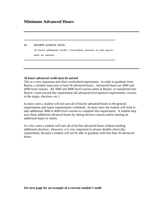# **Minimum Advanced Hours**

```
NO.
  MINIMUM ADVANCED HOURS
   36 hours advanced credit (including courses in the major)
   must be earned.
```
#### *36 hours advanced credit must be earned*

This is a very important and often overlooked requirement. In order to graduate from Baylor, a student must earn at least 36 advanced hours. Advanced hours are 3000 and 4000 level courses. All 3000 and 4000 level courses taken at Baylor, or transferred into Baylor, count toward this requirement (all advanced level general requirements, courses in the major, electives, etc.)

In most cases a student will not earn all of his/her advanced hours in the general requirements and major requirements combined. In most cases the student will need to take additional 3000 or 4000 level courses to complete this requirement. A student may earn these additional advanced hours by taking elective courses and/or earning an additional major or minor.

In a few cases a student will earn all of his/her advanced hours without needing additional electives. However, it is very important to always double-check this requirement, because a student will not be able to graduate with less than 36 advanced hours.

**See next page for an example of a current student's audit**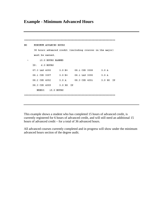# **Example - Minimum Advanced Hours**

```
NO.
    MINIMUM ADVANCED HOURS
    36 hours advanced credit (including courses in the major)
    must be earned.
       15.0 HOURS EARNED
 \overline{\phantom{a}}IP: 6.0 HOURS
   07.3 LAS 4350 3.0 B+ 08.1 CSD 3308
                                  3.0A08.1 CSD 3357
               3.0 B+ 08.1 LAS 3390
                                   3.0A08.2 CSD 4352 3.0 A 08.3 CSD 4301 3.0 RG IP
   08.3 CSD 4309 3.0 RG IP
     NEEDS: 15.0 HOURS
```
This example shows a student who has completed 15 hours of advanced credit, is currently registered for 6 hours of advanced credit, and will still need an additional 15 hours of advanced credit – for a total of 36 advanced hours.

All advanced courses currently completed and in progress will show under the minimum advanced hours section of the degree audit.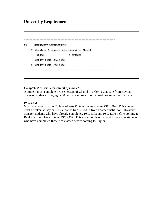# **University Requirements**

```
NO
   UNIVERSITY REQUIREMENTS
 - 1) Complete 2 courses (semesters) of Chapel.
                2 COURSES
    NEEDS:
    SELECT FROM: CHA 1088
 - 2) SELECT FROM: PSC 2302
```
#### *Complete 2 courses (semesters) of Chapel.*

A student must complete two semesters of Chapel in order to graduate from Baylor. Transfer students bringing in 60 hours or more will only need one semester of Chapel.

#### *PSC 2302*

Most all students in the College of Arts & Sciences must take PSC 2302. This course must be taken at Baylor – it cannot be transferred in from another institution. However, transfer students who have already completely PSC 1305 and PSC 1306 before coming to Baylor will not have to take PSC 2302. This exception is only valid for transfer students who have completed these two classes before coming to Baylor.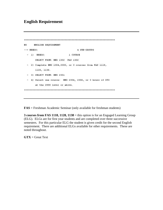# **English Requirement**

```
NO
    ENGLISH REQUIREMENT
\rightarrow NEEDS:
                          4 SUB-GROUPS
                      1 COURSE
 -1) NEEDS:
     SELECT FROM: ENG 1302 FAS 1302
 - 2) Complete ENG 1304,3300, or 3 courses from FAS 1118,
     1128, 1138.
 - 3) SELECT FROM: ENG 2301
 - 4) Select one course: ENG 2304, 2306, or 3 hours of GTX
     at the 2000 level or above.
```
**FAS** = Freshman Academic Seminar (only available for freshman students)

**3 courses from FAS 1118, 1128, 1138** = this option is for an Engaged Learning Group (ELG). ELGs are for first year students and are completed over three successive semesters. For this particular ELG the student is given credit for the second English requirement. There are additional ELGs available for other requirements. These are noted throughout.

**GTX** = Great Text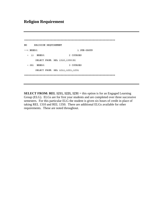# **Religion Requirement**

```
NO
   RELIGION REQUIREMENT
\rightarrow NEEDS:
                   1 SUB-GROUP
           2 COURSES
 -1 NEEDS:
    SELECT FROM: REL 1310, 1350(R)
 - OR) NEEDS:
                 3 COURSES
    SELECT FROM: REL 1211, 1221, 1231
```
**SELECT FROM: REL 1211, 1221, 1231** = this option is for an Engaged Learning Group (ELG). ELGs are for first year students and are completed over three successive semesters. For this particular ELG the student is given six hours of credit in place of taking REL 1310 and REL 1350. There are additional ELGs available for other requirements. These are noted throughout.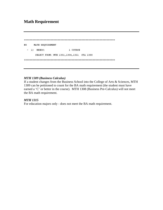# **Math Requirement**

```
NO
  MATH REQUIREMENT
-1) NEEDS:
            1 COURSE
   SELECT FROM: MTH 1301, 1304, 1321 STA 1380
```
#### *MTH 1309 (Business Calculus)*

If a student changes from the Business School into the College of Arts & Sciences, MTH 1309 can be petitioned to count for the BA math requirement (the student must have earned a 'C' or better in the course). MTH 1308 (Business Pre-Calculus) will not meet the BA math requirement.

#### *MTH 1315*

For education majors only - does not meet the BA math requirement.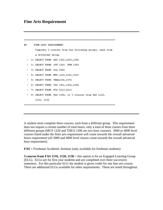# **Fine Arts Requirement**

```
NO.
    FINE ARTS REQUIREMENT
     Complete 3 courses from the following groups, each from
      a different group.
 - 1) SELECT FROM: ART 2302,2303,1300
 - 2) SELECT FROM: JOU 1303 FDM 1303
 - 3) SELECT FROM: CLA 3380
 - 4) SELECT FROM: MUS 1220,3322,3323
 - 5) SELECT FROM: THEA1206,2374
 - 6) SELECT FROM: CSS 1301,1302,1304
 - 7) SELECT FROM: FCS 3313,4313
 - 9) SELECT FROM: FAS 1306, or 3 courses from FAS 1116,
     1126, 1136
```
A student must complete three courses, each from a different group. This requirement does not require a certain number of total hours, only a total of three classes from three different groups (MUS 1220 and THEA 1206 are two hour courses). 3000 or 4000 level courses listed under the fines arts requirement will count towards the overall advanced hours requirement (all 3000 and 4000 level classes count towards the overall advanced hour requirement).

**FAS** = Freshman Academic Seminar (only available for freshman students)

**3 courses from FAS 1116, 1126, 1136** = this option is for an Engaged Learning Group (ELG). ELGs are for first year students and are completed over three successive semesters. For this particular ELG the student is given credit for one fine arts course. There are additional ELGs available for other requirements. These are noted throughout.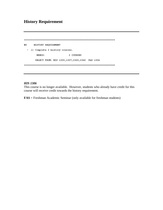# **History Requirement**

```
NO
   HISTORY REQUIREMENT
- 1) Complete 2 history courses.
    NEEDS:
               2 COURSES
   SELECT FROM: HIS 1305,1307,2365,2366 FAS 1304
```
#### *HIS 1306*

This course is no longer available. However, students who already have credit for this course will receive credit towards the history requirement.

**FAS** = Freshman Academic Seminar (only available for freshman students)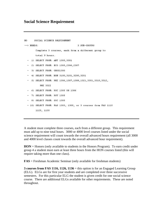```
N<sub>O</sub>
       SOCIAL SCIENCE REQUIREMENT
\leftarrow > NEEDS:
                                        3 SUB-GROUPS
        Complete 3 courses, each from a different group to
        total 9 hours.
  - 1) SELECT FROM: ANT 1305,3301
  - 2) SELECT FROM: ECO 1305, 2306, 2307
  - 3) SELECT FROM: GEOG1300
    4) SELECT FROM: HON 3100, 3101, 3200, 3201
  - 5) SELECT FROM: PHI 1306,1307,1308,1321,3301,3310,3312,
           PHI 3322
   6) SELECT FROM: PSC 1305 OR 1306
  - 7) SELECT FROM: PSY 1305
  - 8) SELECT FROM: SOC 1305
  - 10) SELECT FROM: FAS 1303, 1305, or 3 courses from FAS 1115
        1125, 1135
```
A student must complete three courses, each from a different group. This requirement must add up to nine total hours. 3000 or 4000 level courses listed under the social science requirement will count towards the overall advanced hours requirement (all 3000 and 4000 level classes count towards the overall advanced hour requirement).

**HON** = Honors (only available to students in the Honors Program). To earn credit under group 4 a student must earn at least three hours from the HON courses listed (this will require taking more than one class).

**FAS** = Freshman Academic Seminar (only available for freshman students)

**3 courses from FAS 1116, 1126, 1136** = this option is for an Engaged Learning Group (ELG). ELGs are for first year students and are completed over three successive semesters. For this particular ELG the student is given credit for one social science course. There are additional ELGs available for other requirements. These are noted throughout.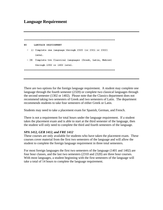# **Language Requirement**

```
NO.
   LANGUAGE REQUIREMENT
 - 1) Complete one language through 2320 (or 2321 or 2322)
    level.
 - OR Complete two Classical languages (Greek, Latin, Hebrew)
    through 1302 or 1402 level.
```
There are two options for the foreign language requirement. A student may complete one language through the fourth semester (2320) or complete two classical languages through the second semester (1302 or 1402). Please note that the Classics department does not recommend taking two semesters of Greek and two semesters of Latin. The department recommends students to take four semesters of either Greek or Latin.

Students may need to take a placement exam for Spanish, German, and French.

There is not a requirement for total hours under the language requirement. If a student takes the placement exam and is able to start at the third semester of the language, then the student will only need to complete the third and fourth semesters of the language.

#### *SPA 1412, GER 1412, and FRE 1412*

These courses are only available for students who have taken the placement exam. These courses cover material from the first two semesters of the language and will allow the student to complete the foreign language requirement in three total semesters.

For most foreign languages the first two semesters of the language (1401 and 1402) are four hour classes, and the last two semesters (2310 and 2320) are three hour courses. With most languages, a student beginning with the first semesters of the language will take a total of 14 hours to complete the language requirement.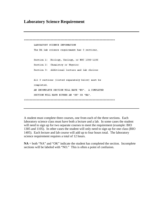# **Laboratory Science Requirement**

```
LABORATORY SCIENCE INFORMATION
     The BA lab science requirement has 3 sections.
     Section 1: Biology, Geology, or NSC 1306-1106
     Section 2: Chemistry or Physics
     Section 3: Additional lecture and lab choices
     All 3 sections (listed separately below) must be
     completed.
    AN INCOMPLETE SECTION WILL HAVE "NO". A COMPLETED
     SECTION WILL HAVE EITHER AN "OK" OR "NA".
```
A student must complete three courses, one from each of the three sections. Each laboratory science class must have both a lecture and a lab. In some cases the student will need to sign up for two separate courses to meet the requirement (example: BIO 1305 and 1105). In other cases the student will only need to sign up for one class (BIO 1405). Each lecture and lab course will add up to four hours total. The laboratory science requirement requires a total of 12 hours.

 $NA = both 'NA'$  and "OK" indicate the student has completed the section. Incomplete sections will be labeled with "NO." This is often a point of confusion.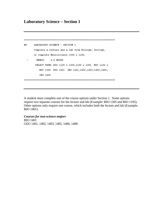# **Laboratory Science – Section 1**

```
NO
    LABORATORY SCIENCE - SECTION 1
    Complete a lecture and a lab from Biology, Geology,
    or complete Neuroscience 1306 & 1106.
     NEEDS:
           4.0 HOURS
 \pmSELECT FROM: BIO 1105 & 1305,1106 & 1306 NSC 1106 &
       NSC 1306 BIO 1401 GEO 1401, 1402, 1403, 1405, 1406,
       GEO 1408
```
A student must complete one of the course options under Section 1. Some options require two separate courses for the lecture and lab (Example: BIO 1305 and BIO 1105). Other options only require one course, which includes both the lecture and lab (Example: BIO 1401).

#### *Courses for non-science majors*

BIO 1401 GEO 1401, 1402, 1403, 1405, 1406, 1408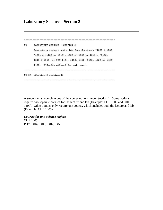# **Laboratory Science – Section 2**

```
NO
   LABORATORY SCIENCE - SECTION 2
    Complete a lecture and a lab from Chemistry *1300 & 1100,
    *1301 & (1100 or 1316), 1302 & (1102 or 1316), *1405,
    1341 & 1146, or PHY 1404, 1405, 1407, 1408, 1422 or 1425,
    1455. (*Credit allowed for only one.)
NO OR (Section 2 continued)
```
A student must complete one of the course options under Section 2. Some options require two separate courses for the lecture and lab (Example: CHE 1300 and CHE 1100). Other options only require one course, which includes both the lecture and lab (Example: CHE 1405).

*Courses for non-science majors*  CHE 1405 PHY 1404, 1405, 1407, 1455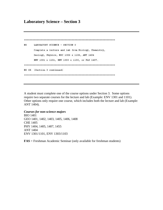# **Laboratory Science – Section 3**

```
NO
   LABORATORY SCIENCE - SECTION 3
   Complete a lecture and lab from Biology, Chemistry,
   Geology, Physics, NSC 1306 & 1106, ANT 1404
   ENV 1301 & 1101, ENV 1303 & 1103, or FAS 1407.
NO OR (Section 3 continued)
```
A student must complete one of the course options under Section 3. Some options require two separate courses for the lecture and lab (Example: ENV 1301 and 1101). Other options only require one course, which includes both the lecture and lab (Example: ANT 1404).

#### *Courses for non-science majors*

BIO 1401 GEO 1401, 1402, 1403, 1405, 1406, 1408 CHE 1405 PHY 1404, 1405, 1407, 1455 ANT 1404 ENV 1301/1101, ENV 1303/1103

**FAS** = Freshman Academic Seminar (only available for freshman students)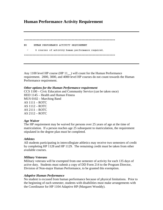# **Human Performance Activity Requirement**

```
HUMAN PERFORMANCE ACTIVITY REQUIREMENT
NO.
   4 courses of activity human performance required.
```
Any 1100 level HP course (HP 11 ) will count for the Human Performance requirement. 2000, 3000, and 4000 level HP courses do not count towards the Human Performance requirement.

#### *Other options for the Human Performance requirement*

CCS 1100 – Civic Education and Community Service (can be taken once) HED 1145 – Health and Human Fitness MUS 0102 – Marching Band AS 1111 – ROTC AS 1112 – ROTC AS 2111 – ROTC AS 2112 – ROTC

#### *Age Waiver*

The HP requirement may be waived for persons over 25 years of age at the time of matriculation. If a person reaches age 25 subsequent to matriculation, the requirement stipulated in the degree plan must be completed.

#### *Athletes*

All students participating in intercollegiate athletics may receive two semesters of credit by completing HP 1128 and HP 1129. The remaining credit must be taken from other available courses.

#### *Military Veterans*

Military veterans will be exempted from one semester of activity for each 135 days of active duty. Students must submit a copy of DD Form 214 to the Program Director, Division of Non-major Human Performance, to be granted this exemption.

#### *Adaptive Human Performance*

No student is excused from human performance because of physical limitations. Prior to the beginning of each semester, students with disabilities must make arrangements with the Coordinator for HP 1104 Adaptive HP (Margaret Wooddy).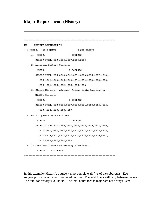# **Major Requirements (History)**

```
HISTORY REQUIREMENTS
NO.
-->NERDS: 33.0 HOURS
                               5 SUB-GROUPS
                   4 COURSES
 -1) NEEDS:
      SELECT FROM: HIS 1305,1307,2365,2366
 - 2) American History Courses:
       NEEDS:
                           2 COURSES
       SELECT FROM: HIS 3360,3362,3371,3380,3395,4357,4360,
         HIS 4362,4363,4365,4368,4371,4374,4378,4380,4383,
         HIS 4384, 4386, 4392, 4395, 4396, 4398
 - 3) Global History - African, Asian, Latin American or
      Middle Eastern:
       NEEDS:
                           2 COURSES
      SELECT FROM: HIS 3305,3307,3310,3311,3353,3355,4305,
         HIS 4312, 4313, 4350, 4357
 - 4) European History Courses:
       NEEDS:
                           2 COURSES
       SELECT FROM: HIS 2380,3305,3307,3308,3310,3315,3340,
         HIS 3342, 3344, 3395, 4305, 4322, 4324, 4326, 4327, 4328,
         HIS 4329, 4331, 4332, 4333, 4336, 4337, 4338, 4339, 4341,
         HIS 4343, 4345, 4346, 4348
 - 5) Complete 3 hours of history electives.
       NEEDS:
               3.0 HOURS
```
In this example (History), a student must complete all five of the subgroups. Each subgroup lists the number of required courses. The total hours will vary between majors. The total for history is 33 hours. The total hours for the major are not always listed.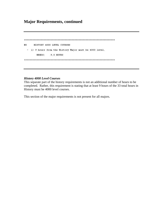# **Major Requirements, continued**

NO HISTORY 4000 LEVEL COURSES - 1) 9 hours from the History Major must be 4000 level. NEEDS: 9.0 HOURS 

#### *History 4000 Level Courses*

This separate part of the history requirements is not an additional number of hours to be completed. Rather, this requirement is stating that at least 9 hours of the 33 total hours in History must be 4000 level courses.

This section of the major requirements is not present for all majors.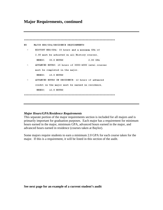| NO | MAJOR HRS/GPA/RESIDENCE REQUIREMENTS                |          |
|----|-----------------------------------------------------|----------|
|    | HISTORY HRS/GPA: 33 hours and a minimum GPA of      |          |
|    | 2.00 must be achieved on all History courses.       |          |
|    | NEEDS: 33.0 HOURS                                   | 2.00 GPA |
|    | ADVANCED HOURS: 15 hours of 3000-4000 level courses |          |
|    | must be completed in the major.                     |          |
|    | NEEDS: 15.0 HOURS                                   |          |
|    | ADVANCED HOURS IN RESIDENCE: 12 hours of advanced   |          |
|    | credit in the major must be earned in residence.    |          |
|    | NEEDS: 12.0 HOURS                                   |          |
|    |                                                     |          |

#### *Major Hours/GPA/Residence Requirements*

This separate portion of the major requirements section is included for all majors and is primarily important for graduation purposes. Each major has a requirement for minimum hours earned in the major, minimum GPA, advanced hours earned in the major, and advanced hours earned in residence (courses taken at Baylor).

Some majors require students to earn a minimum 2.0 GPA for each course taken for the major. If this is a requirement, it will be listed in this section of the audit.

**See next page for an example of a current student's audit**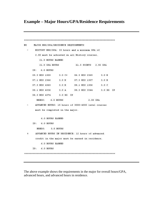# **Example – Major Hours/GPA/Residence Requirements**

```
NO
     MAJOR HRS/GPA/RESIDENCE REQUIREMENTS
     HISTORY HRS/GPA: 33 hours and a minimum GPA of
      2.00 must be achieved on all History courses.
        21.0 HOURS EARNED
                      61.5 POINTS 2.92 GPA
        21.0 GPA HOURS
    IP: 6.0 HOURS
    05.3 HIS 1305 3.0 C+ 06.3 HIS 2365
                                        3.0 B07.1 HIS 2366 3.0 B 07.3 HIS 1307 3.0 B
    07.3 HIS 4365 3.0 B 08.1 HIS 1306 3.0 C
    08.1 HIS 4336
                 3.0 A 08.3 HIS 3344 3.0 RG IP
    08.3 HIS 4374
                 3.0 RG IP
      NEEDS: 6.0 HOURS
                                   2.00 GPA
     ADVANCED HOURS: 15 hours of 3000-4000 level courses
     must be completed in the major.
         6.0 HOURS EARNED
    IP: 6.0 HOURS
      NEEDS:
              3.0 HOURS
      ADVANCED HOURS IN RESIDENCE: 12 hours of advanced
 +credit in the major must be earned in residence.
         6.0 HOURS EARNED
    IP: 6.0 HOURS
```
The above example shows the requirements in the major for overall hours/GPA, advanced hours, and advanced hours in residence.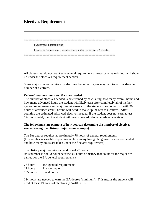# **Electives Requirement**

| ELECTIVES REQUIREMENT                                                                                  |
|--------------------------------------------------------------------------------------------------------|
| Elective hours vary according to the program of study.                                                 |
| [ 유민은 사람 사람 중간 아이를 마음 장애를 위한 사람을 하지 않고 정치하면 좋아한다면 아무는 아이들이 아니라 이 사람들이 아니라 아이들을 하고 있으며 2000년 이 사람들이 아니라 |

All classes that do not count as a general requirement or towards a major/minor will show up under the electives requirement section.

Some majors do not require any electives, but other majors may require a considerable number of electives.

#### *Determining how many electives are needed*

The number of electives needed is determined by calculating how many overall hours and how many advanced hours the student will likely earn after completely all of his/her general requirements and major requirements. If the student does not end up with 36 hours of advanced credit, he/she will need to make up the rest as electives. After counting the estimated advanced electives needed, if the student does not earn at least 124 hours total, then the student will need some additional any-level electives.

#### **The following is an example of how you can determine the number of electives needed (using the History major as an example).**

The BA degree requires approximately 78 hours of general requirements (this number is variable depending on how many foreign language courses are needed and how many hours are taken under the fine arts requirement)

The History major requires an additional 27 hours (this number is not 33 hours because six hours of history that count for the major are earned for the BA general requirements)

| 78 hours  | BA general requirements |
|-----------|-------------------------|
| 27 hours  | History major           |
| 105 hours | Total hours             |

124 hours are needed to earn the BA degree (minimum). This means the student will need at least 19 hours of electives (124-105=19).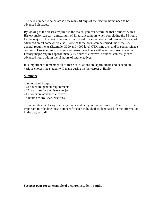The next number to calculate is how many (if any) of the elective hours need to be advanced electives.

By looking at the classes required in the major, you can determine that a student with a History major can earn a maximum of 21 advanced hours when completing the 33 hours for the major. This means the student will need to earn at least an additional 15 hours of advanced credit somewhere else. Some of these hours can be earned under the BA general requirments (Example: 3000 and 4000 level GTX, fine arts, and/or social science courses). However, most students will earn these hours with electives. And since the History major requires approximately 19 hours of electives, a student can easily earn 15 advanced hours within the 19 hours of total electives.

It is important to remember all of these calculations are approximate and depend on various choices the student will make during his/her career at Baylor.

#### **Summary**

124 hours total required

- 78 hours are general requirements
- 27 hours are for the history major
- 15 hours are advanced electives
- 4 hours are any-level electives

These numbers will vary for every major and every individual student. That is why it is important to calculate these numbers for each individual student based on the information in the degree audit.

**See next page for an example of a current student's audit**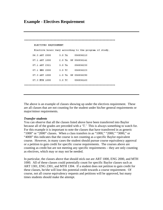# **Example - Electives Requirement**

| ELECTIVES REQUIREMENT |                                                        |  |
|-----------------------|--------------------------------------------------------|--|
|                       | Elective hours vary according to the program of study. |  |
| 06.3 ART 2000         | 3.0 <sub>TA</sub><br>006836213                         |  |
| 07.1 ART 1000         | 2.0 TA RP 006836141                                    |  |
| 07.1 ART 2321         | 3.0 <sub>TA</sub><br>006836233                         |  |
| 07.1 KNG 2000         | 3.0 TC 006836223                                       |  |
| 07.3 ART 1000         | 1.0 TA RP 006836290                                    |  |
| 07.3 MTH 1000         | 3.0 TC<br>006836163                                    |  |
|                       |                                                        |  |

The above is an example of classes showing up under the electives requirement. These are all classes that are not counting for the student under his/her general requirements or major/minor requirements.

#### *Transfer students*

You can observe that all the classes listed above have been transferred into Baylor because all of the grades are preceded with a 'T.' This is always something to watch for. For this example it is important to note the classes that have transferred in as generic "1000" or "2000" classes. When a class transfers in as "1000," "2000," "3000," or "4000" this indicates that the course is not counting as a specific Baylor equivalent course. However, in many cases the student should pursue course equivalency approval or a petition to gain credit for specific course requirements. The courses above are counting as credit but are not meeting any specific requirements – they are only counting as electives, which may or may not be needed.

In particular, the classes above that should stick out are ART 1000, ENG 2000, and MTH 1000. All of these classes could potentially count for specific Baylor classes such as ART 1301, ENG 2301, and MTH 1304. If a student does not petition to gain credit for these classes, he/she will lose this potential credit towards a course requirement. Of course, not all course equivalency requests and petitions will be approved, but many times students should make the attempt.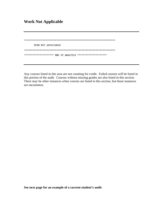# **Work Not Applicable**

```
WORK NOT APPLICABLE
********************* END OF ANALYSIS **********************
```
Any courses listed in this area are not counting for credit. Failed courses will be listed in this portion of the audit. Courses without missing grades are also listed in this section. There may be other instances when courses are listed in this section, but those instances are uncommon.

**See next page for an example of a current student's audit**